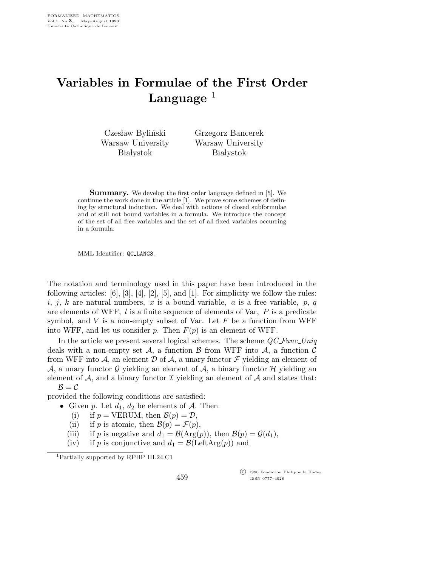## Variables in Formulae of the First Order Language  $1$

Czesław Byliński Warsaw University **Białystok** 

Grzegorz Bancerek Warsaw University **Białystok** 

Summary. We develop the first order language defined in [5]. We continue the work done in the article [1]. We prove some schemes of defining by structural induction. We deal with notions of closed subformulae and of still not bound variables in a formula. We introduce the concept of the set of all free variables and the set of all fixed variables occurring in a formula.

MML Identifier: QC LANG3.

The notation and terminology used in this paper have been introduced in the following articles:  $[6]$ ,  $[3]$ ,  $[4]$ ,  $[2]$ ,  $[5]$ , and  $[1]$ . For simplicity we follow the rules: i, j, k are natural numbers, x is a bound variable, a is a free variable,  $p, q$ are elements of WFF,  $l$  is a finite sequence of elements of Var,  $P$  is a predicate symbol, and  $V$  is a non-empty subset of Var. Let  $F$  be a function from WFF into WFF, and let us consider p. Then  $F(p)$  is an element of WFF.

In the article we present several logical schemes. The scheme  $QC\text{-}Func\text{-}Uniq$ deals with a non-empty set A, a function B from WFF into A, a function C from WFF into A, an element D of A, a unary functor F yielding an element of A, a unary functor G yielding an element of A, a binary functor H yielding an element of  $A$ , and a binary functor  $I$  yielding an element of  $A$  and states that:  $\mathcal{B} = \mathcal{C}$ 

provided the following conditions are satisfied:

- Given p. Let  $d_1, d_2$  be elements of A. Then
	- (i) if  $p = VERUM$ , then  $\mathcal{B}(p) = \mathcal{D}$ ,
	- (ii) if p is atomic, then  $\mathcal{B}(p) = \mathcal{F}(p)$ ,
	- (iii) if p is negative and  $d_1 = \mathcal{B}(\text{Arg}(p))$ , then  $\mathcal{B}(p) = \mathcal{G}(d_1)$ ,
	- (iv) if p is conjunctive and  $d_1 = \mathcal{B}(\text{LeftArg}(p))$  and

<sup>1</sup>Partially supported by RPBP III.24.C1

459

 c 1990 Fondation Philippe le Hodey ISSN 0777–4028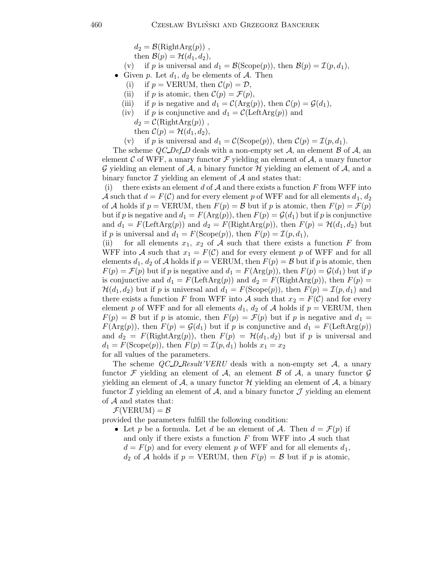$d_2 = \mathcal{B}(\text{RightArg}(p))$ ,

then 
$$
\mathcal{B}(p) = \mathcal{H}(d_1, d_2),
$$

(v) if p is universal and  $d_1 = \mathcal{B}(\text{Scope}(p)),$  then  $\mathcal{B}(p) = \mathcal{I}(p, d_1),$ 

- Given p. Let  $d_1, d_2$  be elements of A. Then
	- (i) if  $p = VERUM$ , then  $C(p) = D$ ,
	- (ii) if p is atomic, then  $\mathcal{C}(p) = \mathcal{F}(p)$ ,
	- (iii) if p is negative and  $d_1 = \mathcal{C}(\text{Arg}(p))$ , then  $\mathcal{C}(p) = \mathcal{G}(d_1)$ ,
	- (iv) if p is conjunctive and  $d_1 = \mathcal{C}(\text{LeftArg}(p))$  and

 $d_2 = \mathcal{C}(\text{RightArg}(p))$ ,

then  $\mathcal{C}(p) = \mathcal{H}(d_1, d_2),$ 

(v) if p is universal and  $d_1 = \mathcal{C}(\text{Scope}(p))$ , then  $\mathcal{C}(p) = \mathcal{I}(p, d_1)$ .

The scheme  $QCDef_D$  deals with a non-empty set A, an element B of A, an element C of WFF, a unary functor  $\mathcal F$  yielding an element of  $\mathcal A$ , a unary functor G yielding an element of  $A$ , a binary functor  $H$  yielding an element of  $A$ , and a binary functor  $\mathcal I$  yielding an element of  $\mathcal A$  and states that:

(i) there exists an element d of  $A$  and there exists a function F from WFF into A such that  $d = F(\mathcal{C})$  and for every element p of WFF and for all elements  $d_1, d_2$ of A holds if  $p = VERUM$ , then  $F(p) = B$  but if p is atomic, then  $F(p) = \mathcal{F}(p)$ but if p is negative and  $d_1 = F(\text{Arg}(p))$ , then  $F(p) = \mathcal{G}(d_1)$  but if p is conjunctive and  $d_1 = F(\text{LeftArg}(p))$  and  $d_2 = F(\text{RightArg}(p))$ , then  $F(p) = H(d_1, d_2)$  but if p is universal and  $d_1 = F(\text{Scope}(p))$ , then  $F(p) = \mathcal{I}(p, d_1)$ ,

(ii) for all elements  $x_1, x_2$  of A such that there exists a function F from WFF into A such that  $x_1 = F(\mathcal{C})$  and for every element p of WFF and for all elements  $d_1, d_2$  of A holds if  $p = \text{VERUM}$ , then  $F(p) = \mathcal{B}$  but if p is atomic, then  $F(p) = \mathcal{F}(p)$  but if p is negative and  $d_1 = F(\text{Arg}(p))$ , then  $F(p) = \mathcal{G}(d_1)$  but if p is conjunctive and  $d_1 = F(\text{LeftArg}(p))$  and  $d_2 = F(\text{RightArg}(p))$ , then  $F(p) =$  $\mathcal{H}(d_1,d_2)$  but if p is universal and  $d_1 = F(\text{Scope}(p)),$  then  $F(p) = \mathcal{I}(p,d_1)$  and there exists a function F from WFF into A such that  $x_2 = F(\mathcal{C})$  and for every element p of WFF and for all elements  $d_1$ ,  $d_2$  of A holds if  $p = VERUM$ , then  $F(p) = \mathcal{B}$  but if p is atomic, then  $F(p) = \mathcal{F}(p)$  but if p is negative and  $d_1 =$  $F(\text{Arg}(p))$ , then  $F(p) = \mathcal{G}(d_1)$  but if p is conjunctive and  $d_1 = F(\text{LeftArg}(p))$ and  $d_2 = F(\text{RightArg}(p))$ , then  $F(p) = H(d_1, d_2)$  but if p is universal and  $d_1 = F(\text{Scope}(p)),$  then  $F(p) = \mathcal{I}(p, d_1)$  holds  $x_1 = x_2$ for all values of the parameters.

The scheme  $QCD$ -Result'VERU deals with a non-empty set A, a unary

functor  $\mathcal F$  yielding an element of  $\mathcal A$ , an element  $\mathcal B$  of  $\mathcal A$ , a unary functor  $\mathcal G$ yielding an element of  $\mathcal A$ , a unary functor  $\mathcal H$  yielding an element of  $\mathcal A$ , a binary functor  $\mathcal I$  yielding an element of  $\mathcal A$ , and a binary functor  $\mathcal J$  yielding an element of  $A$  and states that:

 $\mathcal{F}(VERUM) = \mathcal{B}$ 

provided the parameters fulfill the following condition:

• Let p be a formula. Let d be an element of A. Then  $d = \mathcal{F}(p)$  if and only if there exists a function  $F$  from WFF into  $A$  such that  $d = F(p)$  and for every element p of WFF and for all elements  $d_1$ ,  $d_2$  of A holds if  $p = \text{VERUM}$ , then  $F(p) = \mathcal{B}$  but if p is atomic,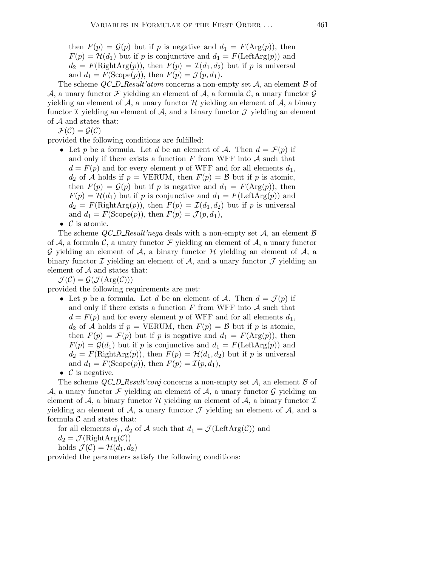then  $F(p) = \mathcal{G}(p)$  but if p is negative and  $d_1 = F(\text{Arg}(p))$ , then  $F(p) = \mathcal{H}(d_1)$  but if p is conjunctive and  $d_1 = F(\text{LeftArg}(p))$  and  $d_2 = F(\text{RightArg}(p)),$  then  $F(p) = \mathcal{I}(d_1, d_2)$  but if p is universal and  $d_1 = F(\text{Scope}(p)),$  then  $F(p) = \mathcal{J}(p, d_1)$ .

The scheme  $QC\_D\_Result'atom$  concerns a non-empty set A, an element B of A, a unary functor F yielding an element of A, a formula C, a unary functor  $\mathcal G$ yielding an element of  $A$ , a unary functor  $H$  yielding an element of  $A$ , a binary functor  $\mathcal I$  yielding an element of  $\mathcal A$ , and a binary functor  $\mathcal J$  yielding an element of  $A$  and states that:

 $\mathcal{F}(\mathcal{C}) = \mathcal{G}(\mathcal{C})$ 

provided the following conditions are fulfilled:

• Let p be a formula. Let d be an element of A. Then  $d = \mathcal{F}(p)$  if and only if there exists a function  $F$  from WFF into  $A$  such that  $d = F(p)$  and for every element p of WFF and for all elements  $d_1$ ,  $d_2$  of A holds if  $p = \text{VERUM}$ , then  $F(p) = \mathcal{B}$  but if p is atomic, then  $F(p) = \mathcal{G}(p)$  but if p is negative and  $d_1 = F(\text{Arg}(p))$ , then  $F(p) = H(d_1)$  but if p is conjunctive and  $d_1 = F(\text{LeftArg}(p))$  and  $d_2 = F(\text{RightArg}(p)),$  then  $F(p) = \mathcal{I}(d_1, d_2)$  but if p is universal and  $d_1 = F(\text{Scope}(p)),$  then  $F(p) = \mathcal{J}(p, d_1),$ 

•  $\mathcal C$  is atomic.

The scheme  $QCD$ -Result'nega deals with a non-empty set A, an element  $\beta$ of A, a formula C, a unary functor F yielding an element of A, a unary functor G yielding an element of A, a binary functor  $\mathcal H$  yielding an element of  $\mathcal A$ , a binary functor  $\mathcal I$  yielding an element of  $\mathcal A$ , and a unary functor  $\mathcal J$  yielding an element of  $A$  and states that:

 $\mathcal{J}(\mathcal{C}) = \mathcal{G}(\mathcal{J}(\text{Arg}(\mathcal{C})))$ 

provided the following requirements are met:

- Let p be a formula. Let d be an element of A. Then  $d = \mathcal{J}(p)$  if and only if there exists a function  $F$  from WFF into  $\mathcal A$  such that  $d = F(p)$  and for every element p of WFF and for all elements  $d_1$ ,  $d_2$  of A holds if  $p = VERUM$ , then  $F(p) = B$  but if p is atomic, then  $F(p) = \mathcal{F}(p)$  but if p is negative and  $d_1 = F(\text{Arg}(p))$ , then  $F(p) = \mathcal{G}(d_1)$  but if p is conjunctive and  $d_1 = F(\text{LeftArg}(p))$  and  $d_2 = F(\text{RightArg}(p))$ , then  $F(p) = H(d_1, d_2)$  but if p is universal and  $d_1 = F(\text{Scope}(p))$ , then  $F(p) = \mathcal{I}(p, d_1)$ ,
- $\mathcal C$  is negative.

The scheme  $QCD$  Result'conj concerns a non-empty set  $A$ , an element  $B$  of A, a unary functor F yielding an element of A, a unary functor G yielding an element of A, a binary functor H yielding an element of A, a binary functor  $\mathcal I$ yielding an element of  $A$ , a unary functor  $J$  yielding an element of  $A$ , and a formula  $\mathcal C$  and states that:

for all elements  $d_1$ ,  $d_2$  of A such that  $d_1 = \mathcal{J}(\text{LeftArg}(\mathcal{C}))$  and

 $d_2 = \mathcal{J}(\text{RightArg}(\mathcal{C}))$ 

holds  $\mathcal{J}(\mathcal{C}) = \mathcal{H}(d_1, d_2)$ 

provided the parameters satisfy the following conditions: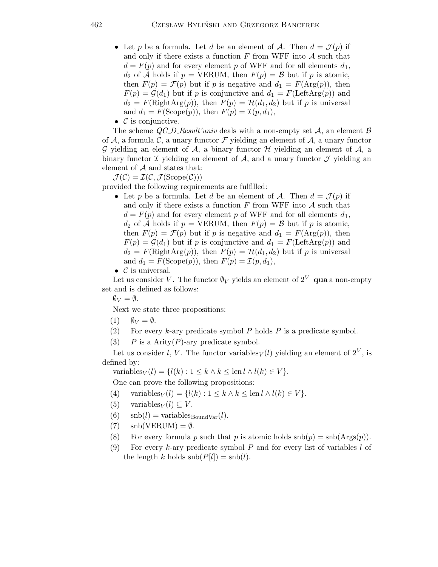- Let p be a formula. Let d be an element of A. Then  $d = \mathcal{J}(p)$  if and only if there exists a function  $F$  from WFF into  $A$  such that  $d = F(p)$  and for every element p of WFF and for all elements  $d_1$ ,  $d_2$  of A holds if  $p = \text{VERUM}$ , then  $F(p) = \mathcal{B}$  but if p is atomic, then  $F(p) = \mathcal{F}(p)$  but if p is negative and  $d_1 = F(\text{Arg}(p))$ , then  $F(p) = \mathcal{G}(d_1)$  but if p is conjunctive and  $d_1 = F(\text{LeftArg}(p))$  and  $d_2 = F(\text{RightArg}(p))$ , then  $F(p) = H(d_1, d_2)$  but if p is universal and  $d_1 = F(\text{Scope}(p))$ , then  $F(p) = \mathcal{I}(p, d_1)$ ,
- $\mathcal C$  is conjunctive.

The scheme QC\_D\_Result'univ deals with a non-empty set  $A$ , an element  $B$ of A, a formula C, a unary functor  $\mathcal F$  yielding an element of A, a unary functor G yielding an element of  $A$ , a binary functor  $H$  yielding an element of  $A$ , a binary functor  $\mathcal I$  yielding an element of  $\mathcal A$ , and a unary functor  $\mathcal J$  yielding an element of  $A$  and states that:

 $\mathcal{J}(\mathcal{C}) = \mathcal{I}(\mathcal{C}, \mathcal{J}(\text{Scope}(\mathcal{C})))$ 

provided the following requirements are fulfilled:

• Let p be a formula. Let d be an element of A. Then  $d = \mathcal{J}(p)$  if and only if there exists a function  $F$  from WFF into  $\mathcal A$  such that  $d = F(p)$  and for every element p of WFF and for all elements  $d_1$ ,  $d_2$  of A holds if  $p = \text{VERUM}$ , then  $F(p) = \mathcal{B}$  but if p is atomic, then  $F(p) = \mathcal{F}(p)$  but if p is negative and  $d_1 = F(\text{Arg}(p))$ , then  $F(p) = \mathcal{G}(d_1)$  but if p is conjunctive and  $d_1 = F(\text{LeftArg}(p))$  and  $d_2 = F(\text{RightArg}(p))$ , then  $F(p) = H(d_1, d_2)$  but if p is universal and  $d_1 = F(\text{Scope}(p))$ , then  $F(p) = \mathcal{I}(p, d_1)$ ,

• 
$$
C
$$
 is universal.

Let us consider V. The functor  $\mathcal{N}_V$  yields an element of  $2^V$  qua a non-empty set and is defined as follows:

 $\emptyset_V = \emptyset.$ 

Next we state three propositions:

- $(1)$   $\emptyset_V = \emptyset$ .
- (2) For every k-ary predicate symbol  $P$  holds  $P$  is a predicate symbol.
- (3)  $P$  is a Arity  $(P)$ -ary predicate symbol.

Let us consider l, V. The functor variables  $V(l)$  yielding an element of  $2^V$ , is defined by:

$$
variables_V(l) = \{l(k) : 1 \le k \land k \le \text{len } l \land l(k) \in V\}.
$$

One can prove the following propositions:

- (4) variables $V(l) = \{l(k) : 1 \leq k \land k \leq \text{len } l \land l(k) \in V\}.$
- (5) variables  $V(l) \subseteq V$ .
- (6)  $\text{snb}(l) = \text{variables}_{\text{Boundary}}(l).$
- $(7)$  snb $(VERUM) = \emptyset$ .
- (8) For every formula p such that p is atomic holds  $\text{snb}(p) = \text{snb}(\text{Args}(p)).$
- (9) For every k-ary predicate symbol  $P$  and for every list of variables  $l$  of the length k holds  $\text{snb}(P[l]) = \text{snb}(l)$ .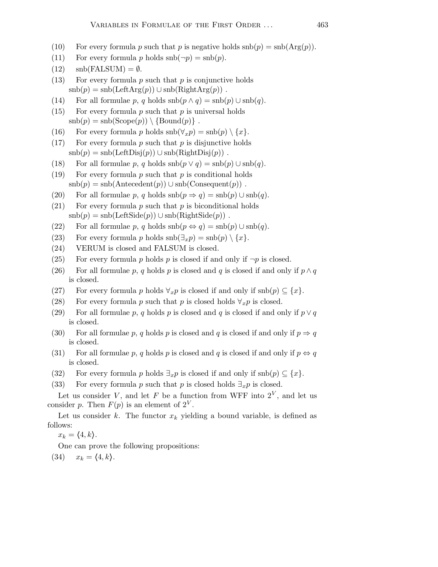- (10) For every formula p such that p is negative holds  $\text{snb}(p) = \text{snb}(\text{Arg}(p)).$
- (11) For every formula p holds  $\text{snb}(\neg p) = \text{snb}(p)$ .
- $(12)$  snb $(FALSUM) = \emptyset$ .
- (13) For every formula p such that p is conjunctive holds  $\text{snb}(p) = \text{snb}(\text{LeftArg}(p)) \cup \text{snb}(\text{RightArg}(p))$ .
- (14) For all formulae p, q holds  $\operatorname{snb}(p \wedge q) = \operatorname{snb}(p) \cup \operatorname{snb}(q)$ .
- (15) For every formula p such that p is universal holds  $\text{snb}(p) = \text{snb}(\text{Scope}(p)) \setminus \{\text{Bound}(p)\}\.$
- (16) For every formula p holds  $\mathrm{snb}(\forall_x p) = \mathrm{snb}(p) \setminus \{x\}.$
- (17) For every formula  $p$  such that  $p$  is disjunctive holds  $\text{snb}(p) = \text{snb}(\text{LeftDisj}(p)) \cup \text{snb}(\text{RightDisj}(p))$ .
- (18) For all formulae p, q holds  $\operatorname{snb}(p \vee q) = \operatorname{snb}(p) \cup \operatorname{snb}(q)$ .
- (19) For every formula  $p$  such that  $p$  is conditional holds  $\text{snb}(p) = \text{snb}(\text{Antecedent}(p)) \cup \text{snb}(\text{Consequent}(p))$ .
- (20) For all formulae p, q holds  $\mathrm{snb}(p \Rightarrow q) = \mathrm{snb}(p) \cup \mathrm{snb}(q)$ .
- $(21)$  For every formula p such that p is biconditional holds  $\text{snb}(p) = \text{snb}(\text{LeftSide}(p)) \cup \text{snb}(\text{RightSide}(p))$ .
- (22) For all formulae p, q holds  $\text{snb}(p \Leftrightarrow q) = \text{snb}(p) \cup \text{snb}(q)$ .
- (23) For every formula p holds  $\operatorname{snb}(\exists_x p) = \operatorname{snb}(p) \setminus \{x\}.$
- (24) VERUM is closed and FALSUM is closed.
- (25) For every formula p holds p is closed if and only if  $\neg p$  is closed.
- (26) For all formulae p, q holds p is closed and q is closed if and only if  $p \wedge q$ is closed.
- (27) For every formula p holds  $\forall_x p$  is closed if and only if  $\text{snb}(p) \subseteq \{x\}.$
- (28) For every formula p such that p is closed holds  $\forall_x p$  is closed.
- (29) For all formulae p, q holds p is closed and q is closed if and only if  $p \vee q$ is closed.
- (30) For all formulae p, q holds p is closed and q is closed if and only if  $p \Rightarrow q$ is closed.
- (31) For all formulae p, q holds p is closed and q is closed if and only if  $p \Leftrightarrow q$ is closed.
- (32) For every formula p holds  $\exists_x p$  is closed if and only if  $\text{snb}(p) \subseteq \{x\}.$
- (33) For every formula p such that p is closed holds  $\exists_x p$  is closed.

Let us consider V, and let F be a function from WFF into  $2^V$ , and let us consider p. Then  $F(p)$  is an element of  $2^V$ .

Let us consider k. The functor  $x_k$  yielding a bound variable, is defined as follows:

 $x_k = \langle 4, k \rangle.$ 

One can prove the following propositions:

(34)  $x_k = \langle 4, k \rangle$ .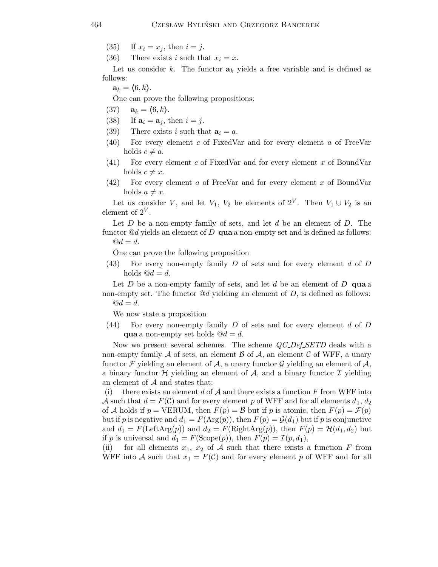(35) If  $x_i = x_j$ , then  $i = j$ .

(36) There exists i such that  $x_i = x$ .

Let us consider k. The functor  $a_k$  yields a free variable and is defined as follows:

 $\mathbf{a}_k = \langle 6, k \rangle.$ 

One can prove the following propositions:

- (37)  $a_k = (6, k).$
- (38) If  $\mathbf{a}_i = \mathbf{a}_j$ , then  $i = j$ .
- (39) There exists i such that  $a_i = a$ .
- (40) For every element c of FixedVar and for every element a of FreeVar holds  $c \neq a$ .
- (41) For every element c of FixedVar and for every element x of BoundVar holds  $c \neq x$ .
- (42) For every element a of FreeVar and for every element x of BoundVar holds  $a \neq x$ .

Let us consider V, and let  $V_1$ ,  $V_2$  be elements of  $2^V$ . Then  $V_1 \cup V_2$  is an element of  $2^V$ .

Let  $D$  be a non-empty family of sets, and let  $d$  be an element of  $D$ . The functor  $\mathbb{Q}d$  yields an element of D qua a non-empty set and is defined as follows:

$$
^{@d}=d.
$$

One can prove the following proposition

 $(43)$  For every non-empty family D of sets and for every element d of D holds  $@d = d$ .

Let  $D$  be a non-empty family of sets, and let  $d$  be an element of  $D$  qua a non-empty set. The functor  $\mathcal{Q}_d$  yielding an element of D, is defined as follows:  $\mathbf{Q}d = d.$ 

We now state a proposition

 $(44)$  For every non-empty family D of sets and for every element d of D qua a non-empty set holds  $@d = d$ .

Now we present several schemes. The scheme  $QCDef$  SETD deals with a non-empty family  $A$  of sets, an element  $B$  of  $A$ , an element  $C$  of WFF, a unary functor F yielding an element of  $A$ , a unary functor G yielding an element of  $A$ , a binary functor  $\mathcal H$  yielding an element of  $\mathcal A$ , and a binary functor  $\mathcal I$  yielding an element of A and states that:

(i) there exists an element d of  $A$  and there exists a function F from WFF into A such that  $d = F(\mathcal{C})$  and for every element p of WFF and for all elements  $d_1, d_2$ of A holds if  $p = VERUM$ , then  $F(p) = B$  but if p is atomic, then  $F(p) = \mathcal{F}(p)$ but if p is negative and  $d_1 = F(\text{Arg}(p))$ , then  $F(p) = \mathcal{G}(d_1)$  but if p is conjunctive and  $d_1 = F(\text{LeftArg}(p))$  and  $d_2 = F(\text{RightArg}(p))$ , then  $F(p) = H(d_1, d_2)$  but if p is universal and  $d_1 = F(\text{Scope}(p))$ , then  $F(p) = \mathcal{I}(p, d_1)$ ,

(ii) for all elements  $x_1, x_2$  of A such that there exists a function F from WFF into A such that  $x_1 = F(\mathcal{C})$  and for every element p of WFF and for all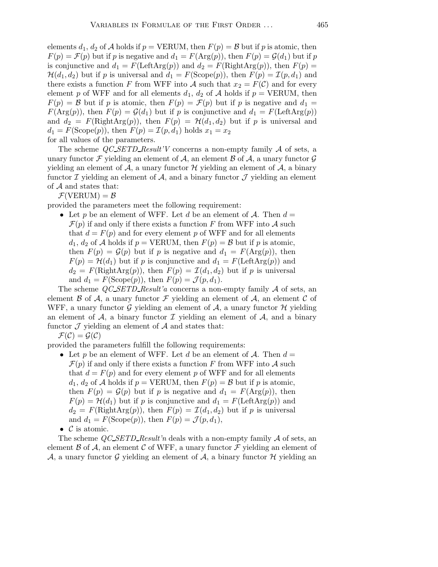elements  $d_1, d_2$  of A holds if  $p = VERUM$ , then  $F(p) = B$  but if p is atomic, then  $F(p) = \mathcal{F}(p)$  but if p is negative and  $d_1 = F(\text{Arg}(p))$ , then  $F(p) = \mathcal{G}(d_1)$  but if p is conjunctive and  $d_1 = F(\text{LeftArg}(p))$  and  $d_2 = F(\text{RightArg}(p))$ , then  $F(p) =$  $\mathcal{H}(d_1,d_2)$  but if p is universal and  $d_1 = F(\text{Scope}(p))$ , then  $F(p) = \mathcal{I}(p,d_1)$  and there exists a function F from WFF into A such that  $x_2 = F(\mathcal{C})$  and for every element p of WFF and for all elements  $d_1$ ,  $d_2$  of A holds if  $p = VERUM$ , then  $F(p) = B$  but if p is atomic, then  $F(p) = \mathcal{F}(p)$  but if p is negative and  $d_1 =$  $F(\text{Arg}(p))$ , then  $F(p) = \mathcal{G}(d_1)$  but if p is conjunctive and  $d_1 = F(\text{LeftArg}(p))$ and  $d_2 = F(\text{RightArg}(p))$ , then  $F(p) = H(d_1, d_2)$  but if p is universal and  $d_1 = F(\text{Scope}(p)),$  then  $F(p) = \mathcal{I}(p, d_1)$  holds  $x_1 = x_2$ for all values of the parameters.

The scheme  $QC\_SETD\_Result'V$  concerns a non-empty family  $\mathcal A$  of sets, a unary functor F yielding an element of A, an element B of A, a unary functor  $\mathcal G$ yielding an element of  $A$ , a unary functor  $H$  yielding an element of  $A$ , a binary functor  $\mathcal I$  yielding an element of  $\mathcal A$ , and a binary functor  $\mathcal J$  yielding an element of A and states that:

 $\mathcal{F}(VERUM) = \mathcal{B}$ 

provided the parameters meet the following requirement:

• Let p be an element of WFF. Let d be an element of  $\mathcal{A}$ . Then  $d =$  $\mathcal{F}(p)$  if and only if there exists a function F from WFF into A such that  $d = F(p)$  and for every element p of WFF and for all elements  $d_1, d_2$  of A holds if  $p = \text{VERUM}$ , then  $F(p) = \mathcal{B}$  but if p is atomic, then  $F(p) = \mathcal{G}(p)$  but if p is negative and  $d_1 = F(\text{Arg}(p))$ , then  $F(p) = H(d_1)$  but if p is conjunctive and  $d_1 = F(\text{LeftArg}(p))$  and  $d_2 = F(\text{RightArg}(p)),$  then  $F(p) = \mathcal{I}(d_1, d_2)$  but if p is universal and  $d_1 = F(\text{Scope}(p))$ , then  $F(p) = \mathcal{J}(p, d_1)$ .

The scheme  $QC\text{-}SETD\text{-}Result'a$  concerns a non-empty family A of sets, an element  $\beta$  of  $\mathcal{A}$ , a unary functor  $\mathcal F$  yielding an element of  $\mathcal A$ , an element  $\mathcal C$  of WFF, a unary functor G yielding an element of  $A$ , a unary functor H yielding an element of  $\mathcal{A}$ , a binary functor  $\mathcal I$  yielding an element of  $\mathcal A$ , and a binary functor  $\mathcal J$  yielding an element of  $\mathcal A$  and states that:

 $\mathcal{F}(\mathcal{C}) = \mathcal{G}(\mathcal{C})$ 

provided the parameters fulfill the following requirements:

- Let p be an element of WFF. Let d be an element of  $A$ . Then  $d =$  $\mathcal{F}(p)$  if and only if there exists a function F from WFF into A such that  $d = F(p)$  and for every element p of WFF and for all elements  $d_1, d_2$  of A holds if  $p = \text{VERUM}$ , then  $F(p) = \mathcal{B}$  but if p is atomic, then  $F(p) = \mathcal{G}(p)$  but if p is negative and  $d_1 = F(\text{Arg}(p))$ , then  $F(p) = H(d_1)$  but if p is conjunctive and  $d_1 = F(\text{LeftArg}(p))$  and  $d_2 = F(\text{RightArg}(p)),$  then  $F(p) = \mathcal{I}(d_1, d_2)$  but if p is universal and  $d_1 = F(\text{Scope}(p)), \text{ then } F(p) = \mathcal{J}(p, d_1),$
- $\mathcal C$  is atomic.

The scheme  $QC\text{-}SETD\text{-}Result'n$  deals with a non-empty family A of sets, an element  $\beta$  of  $\mathcal{A}$ , an element C of WFF, a unary functor F yielding an element of A, a unary functor G yielding an element of A, a binary functor  $\mathcal H$  yielding an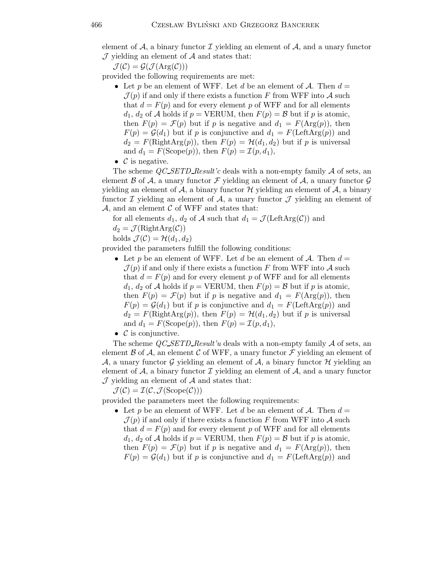element of  $A$ , a binary functor  $I$  yielding an element of  $A$ , and a unary functor  ${\mathcal J}$  yielding an element of  ${\mathcal A}$  and states that:

 $\mathcal{J}(\mathcal{C}) = \mathcal{G}(\mathcal{J}(\text{Arg}(\mathcal{C})))$ 

provided the following requirements are met:

- Let p be an element of WFF. Let d be an element of  $A$ . Then  $d =$  $\mathcal{J}(p)$  if and only if there exists a function F from WFF into A such that  $d = F(p)$  and for every element p of WFF and for all elements  $d_1, d_2$  of A holds if  $p = VERUM$ , then  $F(p) = B$  but if p is atomic, then  $F(p) = \mathcal{F}(p)$  but if p is negative and  $d_1 = F(\text{Arg}(p))$ , then  $F(p) = \mathcal{G}(d_1)$  but if p is conjunctive and  $d_1 = F(\text{LeftArg}(p))$  and  $d_2 = F(\text{RightArg}(p)),$  then  $F(p) = H(d_1, d_2)$  but if p is universal and  $d_1 = F(\text{Scope}(p))$ , then  $F(p) = \mathcal{I}(p, d_1)$ ,
- $\bullet$  *C* is negative.

The scheme  $QC\text{.SETD}$  Result'c deals with a non-empty family  $\mathcal A$  of sets, an element  $\beta$  of  $\mathcal{A}$ , a unary functor  $\mathcal F$  yielding an element of  $\mathcal A$ , a unary functor  $\mathcal G$ yielding an element of  $A$ , a binary functor  $H$  yielding an element of  $A$ , a binary functor  $\mathcal I$  yielding an element of  $\mathcal A$ , a unary functor  $\mathcal J$  yielding an element of  $\mathcal{A}$ , and an element  $\mathcal C$  of WFF and states that:

for all elements  $d_1$ ,  $d_2$  of A such that  $d_1 = \mathcal{J}(\text{LeftArg}(\mathcal{C}))$  and

 $d_2 = \mathcal{J}(\text{RightArg}(\mathcal{C}))$ 

holds  $\mathcal{J}(\mathcal{C}) = \mathcal{H}(d_1, d_2)$ 

provided the parameters fulfill the following conditions:

- Let p be an element of WFF. Let d be an element of  $\mathcal{A}$ . Then  $d =$  $\mathcal{J}(p)$  if and only if there exists a function F from WFF into A such that  $d = F(p)$  and for every element p of WFF and for all elements  $d_1, d_2$  of A holds if  $p = VERUM$ , then  $F(p) = B$  but if p is atomic, then  $F(p) = \mathcal{F}(p)$  but if p is negative and  $d_1 = F(\text{Arg}(p))$ , then  $F(p) = \mathcal{G}(d_1)$  but if p is conjunctive and  $d_1 = F(\text{LeftArg}(p))$  and  $d_2 = F(\text{RightArg}(p)),$  then  $F(p) = H(d_1, d_2)$  but if p is universal and  $d_1 = F(\text{Scope}(p))$ , then  $F(p) = \mathcal{I}(p, d_1)$ ,
- $\mathcal C$  is conjunctive.

The scheme  $QC\_SETD\_Result'u$  deals with a non-empty family A of sets, an element  $\beta$  of  $\mathcal{A}$ , an element C of WFF, a unary functor F yielding an element of A, a unary functor G yielding an element of A, a binary functor  $\mathcal H$  yielding an element of  $A$ , a binary functor  $I$  yielding an element of  $A$ , and a unary functor  $J$  yielding an element of  $A$  and states that:

 $\mathcal{J}(\mathcal{C}) = \mathcal{I}(\mathcal{C}, \mathcal{J}(\text{Scope}(\mathcal{C})))$ 

provided the parameters meet the following requirements:

• Let p be an element of WFF. Let d be an element of  $A$ . Then  $d =$  $\mathcal{J}(p)$  if and only if there exists a function F from WFF into A such that  $d = F(p)$  and for every element p of WFF and for all elements  $d_1, d_2$  of A holds if  $p = VERUM$ , then  $F(p) = B$  but if p is atomic, then  $F(p) = \mathcal{F}(p)$  but if p is negative and  $d_1 = F(\text{Arg}(p))$ , then  $F(p) = \mathcal{G}(d_1)$  but if p is conjunctive and  $d_1 = F(\text{LeftArg}(p))$  and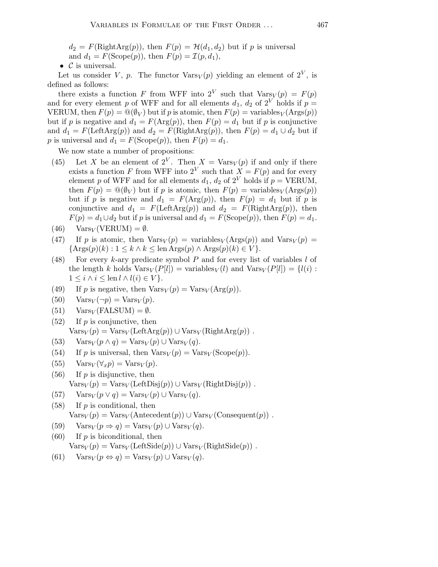$d_2 = F(\text{RightArg}(p))$ , then  $F(p) = H(d_1, d_2)$  but if p is universal and  $d_1 = F(\text{Scope}(p))$ , then  $F(p) = \mathcal{I}(p, d_1)$ ,

•  $\mathcal C$  is universal.

Let us consider V, p. The functor  $\text{Vars}_V(p)$  yielding an element of  $2^V$ , is defined as follows:

there exists a function F from WFF into  $2^V$  such that  $\text{Vars}_V(p) = F(p)$ and for every element p of WFF and for all elements  $d_1, d_2$  of  $2^V$  holds if  $p =$ VERUM, then  $F(p) = \mathcal{Q}(\emptyset_V)$  but if p is atomic, then  $F(p) = \text{variables}_V(\text{Arg}(p))$ but if p is negative and  $d_1 = F(\text{Arg}(p))$ , then  $F(p) = d_1$  but if p is conjunctive and  $d_1 = F(\text{LeftArg}(p))$  and  $d_2 = F(\text{RightArg}(p))$ , then  $F(p) = d_1 \cup d_2$  but if p is universal and  $d_1 = F(\text{Scope}(p))$ , then  $F(p) = d_1$ .

We now state a number of propositions:

- (45) Let X be an element of  $2^V$ . Then  $X = \text{Vars}_V(p)$  if and only if there exists a function F from WFF into  $2^V$  such that  $X = F(p)$  and for every element p of WFF and for all elements  $d_1$ ,  $d_2$  of  $2^V$  holds if  $p = VERUM$ , then  $F(p) = \mathbb{Q}(\emptyset_V)$  but if p is atomic, then  $F(p) = \text{variables}_V(\text{Args}(p))$ but if p is negative and  $d_1 = F(\text{Arg}(p))$ , then  $F(p) = d_1$  but if p is conjunctive and  $d_1 = F(\text{LeftArg}(p))$  and  $d_2 = F(\text{RightArg}(p))$ , then  $F(p) = d_1 \cup d_2$  but if p is universal and  $d_1 = F(\text{Scope}(p))$ , then  $F(p) = d_1$ .
- $(46)$  Vars<sub>V</sub> (VERUM) =  $\emptyset$ .
- (47) If p is atomic, then  $\text{Vars}_V(p) = \text{variables}_V(\text{Args}(p))$  and  $\text{Vars}_V(p) =$  $\{ \text{Args}(p)(k) : 1 \leq k \wedge k \leq \text{len Args}(p) \wedge \text{Args}(p)(k) \in V \}.$
- (48) For every k-ary predicate symbol  $P$  and for every list of variables  $l$  of the length k holds  $\text{Vars}_V(P[l]) = \text{variables}_V(l)$  and  $\text{Vars}_V(P[l]) = \{l(i):$  $1 \leq i \wedge i \leq \operatorname{len} l \wedge l(i) \in V$ .
- (49) If p is negative, then  $\text{Vars}_V(p) = \text{Vars}_V(\text{Arg}(p)).$
- $(50)$  Vars<sub>V</sub> $(\neg p)$  = Vars<sub>V</sub> $(p)$ .
- (51)  $Var_{V}(FALSEUM) = \emptyset.$
- $(52)$  If p is conjunctive, then  $\text{Vars}_V(p) = \text{Vars}_V(\text{LeftArg}(p)) \cup \text{Vars}_V(\text{RightArg}(p))$ .
- (53) Vars $V(p \wedge q) = \text{Vars}_V(p) \cup \text{Vars}_V(q)$ .
- (54) If p is universal, then  $\text{Vars}_V(p) = \text{Vars}_V(\text{Scope}(p)).$
- (55)  $\text{Vars}_V(\forall_x p) = \text{Vars}_V(p).$
- $(56)$  If p is disjunctive, then  $\text{Vars}_V(p) = \text{Vars}_V(\text{LeftDisj}(p)) \cup \text{Vars}_V(\text{RightDisj}(p))$ .
- (57)  $Var_{SV}(p \vee q) = Var_{SV}(p) \cup Var_{SV}(q)$ .

(58) If p is conditional, then  
\n
$$
Var_S(p) = Var_S(\text{Antecedent}(p)) \cup Var_{S}(Conequent(p))
$$
.

- (59)  $\text{Vars}_V(p \Rightarrow q) = \text{Vars}_V(p) \cup \text{Vars}_V(q).$
- $(60)$  If p is biconditional, then  $\text{Vars}_V(p) = \text{Vars}_V(\text{LeftSide}(p)) \cup \text{Vars}_V(\text{RightSide}(p))$ .
- (61)  $Vars_V(p \Leftrightarrow q) = Vars_V(p) \cup Vars_V(q)$ .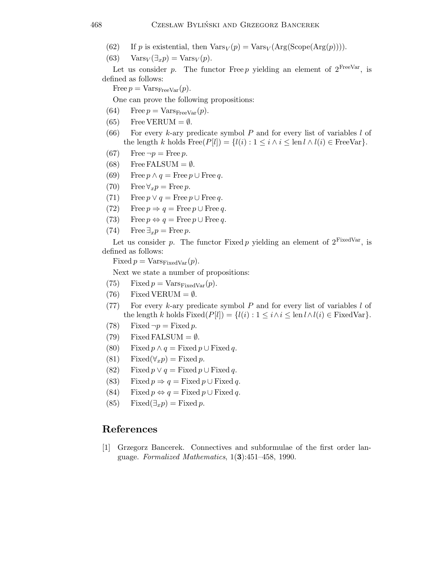- (62) If p is existential, then  $\text{Vars}_V(p) = \text{Vars}_V(\text{Arg}(\text{Scope}(\text{Arg}(p)))$ .
- (63)  $\text{Vars}_V(\exists_x p) = \text{Vars}_V(p).$

Let us consider p. The functor Free p yielding an element of  $2^{\text{FreeVar}}$ , is defined as follows:

Free  $p = \text{Vars}_{\text{FreeVar}}(p)$ .

One can prove the following propositions:

- (64) Free  $p = Vars_{FreeVar}(p)$ .
- (65) Free VERUM =  $\emptyset$ .
- (66) For every k-ary predicate symbol P and for every list of variables  $l$  of the length k holds  $Free(P[l]) = \{l(i) : 1 \leq i \wedge i \leq \text{len } l \wedge l(i) \in FreeVar\}.$
- (67) Free  $\neg p =$  Free p.
- (68) Free FALSUM =  $\emptyset$ .
- (69) Free  $p \wedge q =$  Free  $p \cup$  Free  $q$ .
- (70) Free  $\forall_x p = \text{Free } p$ .
- (71) Free  $p \vee q =$  Free  $p \cup$  Free  $q$ .
- (72) Free  $p \Rightarrow q = \text{Free } p \cup \text{Free } q$ .
- (73) Free  $p \Leftrightarrow q = \text{Free } p \cup \text{Free } q$ .
- (74) Free  $\exists_x p = \text{Free } p$ .

Let us consider p. The functor Fixed p yielding an element of  $2^{\text{FixedVar}}$ , is defined as follows:

Fixed  $p = \text{Vars}_{\text{FixedVar}}(p)$ .

Next we state a number of propositions:

- (75) Fixed  $p = Vars_{FixedVar}(p)$ .
- (76) Fixed VERUM =  $\emptyset$ .
- (77) For every k-ary predicate symbol  $P$  and for every list of variables  $l$  of the length k holds Fixed $(P[l]) = \{l(i) : 1 \leq i \land i \leq \text{len } l \land l(i) \in \text{FixedVar}\}.$
- (78) Fixed  $\neg p =$  Fixed p.
- (79) Fixed FALSUM =  $\emptyset$ .
- (80) Fixed  $p \wedge q =$  Fixed  $p \cup$  Fixed  $q$ .
- (81) Fixed( $\forall_x p$ ) = Fixed p.
- (82) Fixed  $p \vee q =$  Fixed  $p \cup$  Fixed  $q$ .
- (83) Fixed  $p \Rightarrow q =$  Fixed  $p \cup$  Fixed  $q$ .
- (84) Fixed  $p \Leftrightarrow q =$  Fixed  $p \cup$  Fixed  $q$ .
- (85) Fixed( $\exists_x p$ ) = Fixed p.

## References

[1] Grzegorz Bancerek. Connectives and subformulae of the first order language. Formalized Mathematics,  $1(3):451-458$ , 1990.